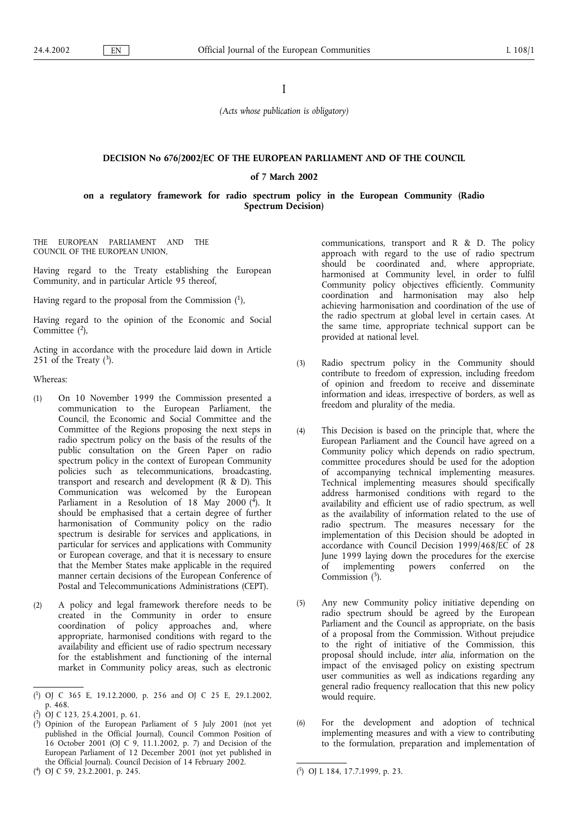# I

(Acts whose publication is obligatory)

### DECISION No 676/2002/EC OF THE EUROPEAN PARLIAMENT AND OF THE COUNCIL

## of 7 March 2002

## on a regulatory framework for radio spectrum policy in the European Community (Radio Spectrum Decision)

THE EUROPEAN PARLIAMENT AND THE COUNCIL OF THE EUROPEAN UNION,

Having regard to the Treaty establishing the European Community, and in particular Article 95 thereof,

Having regard to the proposal from the Commission  $(1)$ ,

Having regard to the opinion of the Economic and Social Committee  $(2)$ ,

Acting in accordance with the procedure laid down in Article 251 of the Treaty  $(3)$ .

Whereas:

- (1) On 10 November 1999 the Commission presented a communication to the European Parliament, the Council, the Economic and Social Committee and the Committee of the Regions proposing the next steps in radio spectrum policy on the basis of the results of the public consultation on the Green Paper on radio spectrum policy in the context of European Community policies such as telecommunications, broadcasting, transport and research and development (R & D). This Communication was welcomed by the European Parliament in a Resolution of 18 May 2000 (4). It should be emphasised that a certain degree of further harmonisation of Community policy on the radio spectrum is desirable for services and applications, in particular for services and applications with Community or European coverage, and that it is necessary to ensure that the Member States make applicable in the required manner certain decisions of the European Conference of Postal and Telecommunications Administrations (CEPT).
- (2) A policy and legal framework therefore needs to be created in the Community in order to ensure coordination of policy approaches and, where appropriate, harmonised conditions with regard to the availability and efficient use of radio spectrum necessary for the establishment and functioning of the internal market in Community policy areas, such as electronic

( 4) OJ C 59, 23.2.2001, p. 245. (

communications, transport and R & D. The policy approach with regard to the use of radio spectrum should be coordinated and, where appropriate, harmonised at Community level, in order to fulfil Community policy objectives efficiently. Community coordination and harmonisation may also help achieving harmonisation and coordination of the use of the radio spectrum at global level in certain cases. At the same time, appropriate technical support can be provided at national level.

- (3) Radio spectrum policy in the Community should contribute to freedom of expression, including freedom of opinion and freedom to receive and disseminate information and ideas, irrespective of borders, as well as freedom and plurality of the media.
- (4) This Decision is based on the principle that, where the European Parliament and the Council have agreed on a Community policy which depends on radio spectrum, committee procedures should be used for the adoption of accompanying technical implementing measures. Technical implementing measures should specifically address harmonised conditions with regard to the availability and efficient use of radio spectrum, as well as the availability of information related to the use of radio spectrum. The measures necessary for the implementation of this Decision should be adopted in accordance with Council Decision 1999/468/EC of 28 June 1999 laying down the procedures for the exercise of implementing powers conferred on the Commission  $(5)$ .
- (5) Any new Community policy initiative depending on radio spectrum should be agreed by the European Parliament and the Council as appropriate, on the basis of a proposal from the Commission. Without prejudice to the right of initiative of the Commission, this proposal should include, inter alia, information on the impact of the envisaged policy on existing spectrum user communities as well as indications regarding any general radio frequency reallocation that this new policy would require.
- (6) For the development and adoption of technical implementing measures and with a view to contributing to the formulation, preparation and implementation of

<sup>(</sup> 1) OJ C 365 E, 19.12.2000, p. 256 and OJ C 25 E, 29.1.2002, p. 468.

<sup>(</sup> 2) OJ C 123, 25.4.2001, p. 61.

<sup>(</sup> 3) Opinion of the European Parliament of 5 July 2001 (not yet published in the Official Journal), Council Common Position of 16 October 2001 (OJ C 9, 11.1.2002, p. 7) and Decision of the European Parliament of 12 December 2001 (not yet published in the Official Journal). Council Decision of 14 February 2002.

<sup>5)</sup> OJ L 184, 17.7.1999, p. 23.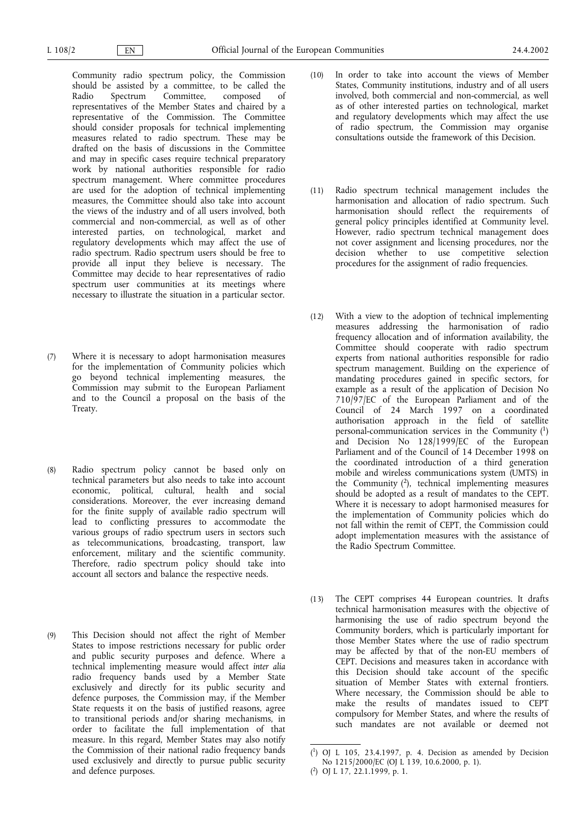Community radio spectrum policy, the Commission should be assisted by a committee, to be called the Radio Spectrum Committee. composed of Radio Spectrum Committee, composed of representatives of the Member States and chaired by a representative of the Commission. The Committee should consider proposals for technical implementing measures related to radio spectrum. These may be drafted on the basis of discussions in the Committee and may in specific cases require technical preparatory work by national authorities responsible for radio spectrum management. Where committee procedures are used for the adoption of technical implementing measures, the Committee should also take into account the views of the industry and of all users involved, both commercial and non-commercial, as well as of other interested parties, on technological, market and regulatory developments which may affect the use of radio spectrum. Radio spectrum users should be free to provide all input they believe is necessary. The Committee may decide to hear representatives of radio spectrum user communities at its meetings where necessary to illustrate the situation in a particular sector.

- (7) Where it is necessary to adopt harmonisation measures for the implementation of Community policies which go beyond technical implementing measures, the Commission may submit to the European Parliament and to the Council a proposal on the basis of the Treaty.
- (8) Radio spectrum policy cannot be based only on technical parameters but also needs to take into account economic, political, cultural, health and social considerations. Moreover, the ever increasing demand for the finite supply of available radio spectrum will lead to conflicting pressures to accommodate the various groups of radio spectrum users in sectors such as telecommunications, broadcasting, transport, law enforcement, military and the scientific community. Therefore, radio spectrum policy should take into account all sectors and balance the respective needs.
- (9) This Decision should not affect the right of Member States to impose restrictions necessary for public order and public security purposes and defence. Where a technical implementing measure would affect inter alia radio frequency bands used by a Member State exclusively and directly for its public security and defence purposes, the Commission may, if the Member State requests it on the basis of justified reasons, agree to transitional periods and/or sharing mechanisms, in order to facilitate the full implementation of that measure. In this regard, Member States may also notify the Commission of their national radio frequency bands used exclusively and directly to pursue public security and defence purposes.
- (10) In order to take into account the views of Member States, Community institutions, industry and of all users involved, both commercial and non-commercial, as well as of other interested parties on technological, market and regulatory developments which may affect the use of radio spectrum, the Commission may organise consultations outside the framework of this Decision.
- (11) Radio spectrum technical management includes the harmonisation and allocation of radio spectrum. Such harmonisation should reflect the requirements of general policy principles identified at Community level. However, radio spectrum technical management does not cover assignment and licensing procedures, nor the decision whether to use competitive selection procedures for the assignment of radio frequencies.
- (12) With a view to the adoption of technical implementing measures addressing the harmonisation of radio frequency allocation and of information availability, the Committee should cooperate with radio spectrum experts from national authorities responsible for radio spectrum management. Building on the experience of mandating procedures gained in specific sectors, for example as a result of the application of Decision No 710/97/EC of the European Parliament and of the Council of 24 March 1997 on a coordinated authorisation approach in the field of satellite personal-communication services in the Community (1) and Decision No 128/1999/EC of the European Parliament and of the Council of 14 December 1998 on the coordinated introduction of a third generation mobile and wireless communications system (UMTS) in the Community  $(2)$ , technical implementing measures should be adopted as a result of mandates to the CEPT. Where it is necessary to adopt harmonised measures for the implementation of Community policies which do not fall within the remit of CEPT, the Commission could adopt implementation measures with the assistance of the Radio Spectrum Committee.
- (13) The CEPT comprises 44 European countries. It drafts technical harmonisation measures with the objective of harmonising the use of radio spectrum beyond the Community borders, which is particularly important for those Member States where the use of radio spectrum may be affected by that of the non-EU members of CEPT. Decisions and measures taken in accordance with this Decision should take account of the specific situation of Member States with external frontiers. Where necessary, the Commission should be able to make the results of mandates issued to CEPT compulsory for Member States, and where the results of such mandates are not available or deemed not

<sup>(</sup> 1) OJ L 105, 23.4.1997, p. 4. Decision as amended by Decision No 1215/2000/EC (OJ L 139, 10.6.2000, p. 1).

<sup>(</sup> 2) OJ L 17, 22.1.1999, p. 1.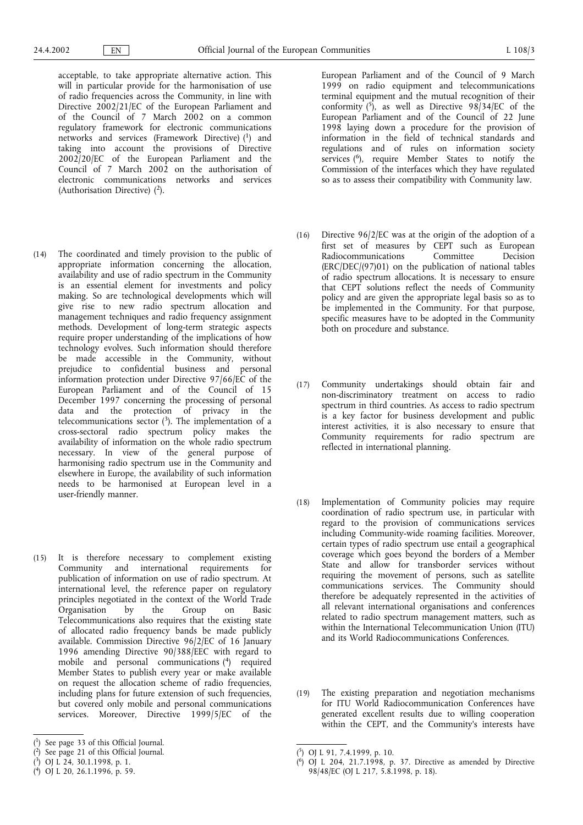acceptable, to take appropriate alternative action. This will in particular provide for the harmonisation of use of radio frequencies across the Community, in line with Directive 2002/21/EC of the European Parliament and of the Council of 7 March 2002 on a common regulatory framework for electronic communications networks and services (Framework Directive) (1) and taking into account the provisions of Directive 2002/20/EC of the European Parliament and the Council of 7 March 2002 on the authorisation of electronic communications networks and services (Authorisation Directive)  $(2)$ .

- (14) The coordinated and timely provision to the public of appropriate information concerning the allocation, availability and use of radio spectrum in the Community is an essential element for investments and policy making. So are technological developments which will give rise to new radio spectrum allocation and management techniques and radio frequency assignment methods. Development of long-term strategic aspects require proper understanding of the implications of how technology evolves. Such information should therefore be made accessible in the Community, without prejudice to confidential business and personal information protection under Directive 97/66/EC of the European Parliament and of the Council of 15 December 1997 concerning the processing of personal data and the protection of privacy in the telecommunications sector  $(3)$ . The implementation of a cross-sectoral radio spectrum policy makes the availability of information on the whole radio spectrum necessary. In view of the general purpose of harmonising radio spectrum use in the Community and elsewhere in Europe, the availability of such information needs to be harmonised at European level in a user-friendly manner.
- (15) It is therefore necessary to complement existing Community and international requirements for publication of information on use of radio spectrum. At international level, the reference paper on regulatory principles negotiated in the context of the World Trade Organisation by the Group on Basic Telecommunications also requires that the existing state of allocated radio frequency bands be made publicly available. Commission Directive 96/2/EC of 16 January 1996 amending Directive 90/388/EEC with regard to mobile and personal communications (4) required Member States to publish every year or make available on request the allocation scheme of radio frequencies, including plans for future extension of such frequencies, but covered only mobile and personal communications services. Moreover, Directive 1999/5/EC of the

- ( 2) See page 21 of this Official Journal.
- ( 3) OJ L 24, 30.1.1998, p. 1.
- ( 4) OJ L 20, 26.1.1996, p. 59.

European Parliament and of the Council of 9 March 1999 on radio equipment and telecommunications terminal equipment and the mutual recognition of their conformity  $(\overline{5})$ , as well as Directive 98/34/EC of the European Parliament and of the Council of 22 June 1998 laying down a procedure for the provision of information in the field of technical standards and regulations and of rules on information society services (<sup>6</sup>), require Member States to notify the Commission of the interfaces which they have regulated so as to assess their compatibility with Community law.

- (16) Directive 96/2/EC was at the origin of the adoption of a first set of measures by CEPT such as European Radiocommunications Committee Decision (ERC/DEC/(97)01) on the publication of national tables of radio spectrum allocations. It is necessary to ensure that CEPT solutions reflect the needs of Community policy and are given the appropriate legal basis so as to be implemented in the Community. For that purpose, specific measures have to be adopted in the Community both on procedure and substance.
- (17) Community undertakings should obtain fair and non-discriminatory treatment on access to radio spectrum in third countries. As access to radio spectrum is a key factor for business development and public interest activities, it is also necessary to ensure that Community requirements for radio spectrum are reflected in international planning.
- (18) Implementation of Community policies may require coordination of radio spectrum use, in particular with regard to the provision of communications services including Community-wide roaming facilities. Moreover, certain types of radio spectrum use entail a geographical coverage which goes beyond the borders of a Member State and allow for transborder services without requiring the movement of persons, such as satellite communications services. The Community should therefore be adequately represented in the activities of all relevant international organisations and conferences related to radio spectrum management matters, such as within the International Telecommunication Union (ITU) and its World Radiocommunications Conferences.
- (19) The existing preparation and negotiation mechanisms for ITU World Radiocommunication Conferences have generated excellent results due to willing cooperation within the CEPT, and the Community's interests have

<sup>(</sup> 1) See page 33 of this Official Journal.

<sup>(</sup> 5) OJ L 91, 7.4.1999, p. 10.

<sup>(</sup> 6) OJ L 204, 21.7.1998, p. 37. Directive as amended by Directive 98/48/EC (OJ L 217, 5.8.1998, p. 18).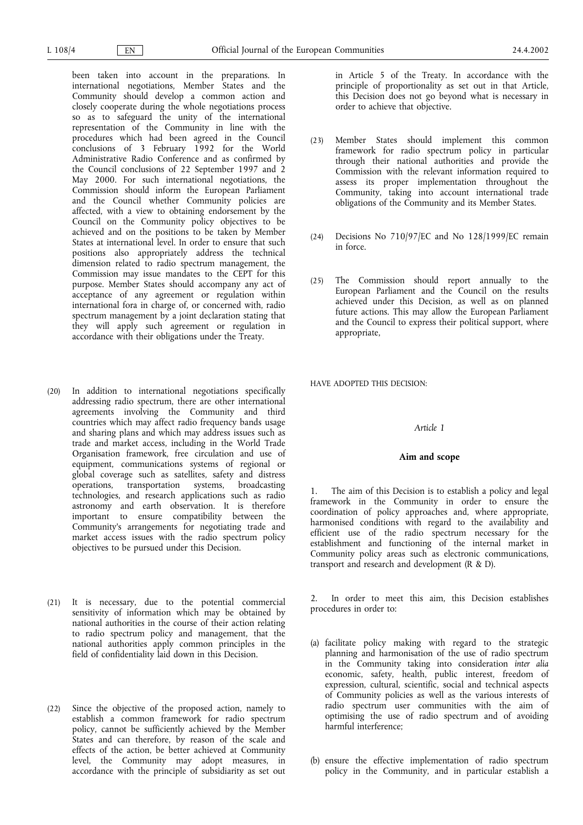been taken into account in the preparations. In international negotiations, Member States and the Community should develop a common action and closely cooperate during the whole negotiations process so as to safeguard the unity of the international representation of the Community in line with the procedures which had been agreed in the Council conclusions of 3 February 1992 for the World Administrative Radio Conference and as confirmed by the Council conclusions of 22 September 1997 and 2 May 2000. For such international negotiations, the Commission should inform the European Parliament and the Council whether Community policies are affected, with a view to obtaining endorsement by the Council on the Community policy objectives to be achieved and on the positions to be taken by Member States at international level. In order to ensure that such positions also appropriately address the technical dimension related to radio spectrum management, the Commission may issue mandates to the CEPT for this purpose. Member States should accompany any act of acceptance of any agreement or regulation within international fora in charge of, or concerned with, radio spectrum management by a joint declaration stating that they will apply such agreement or regulation in accordance with their obligations under the Treaty.

- (20) In addition to international negotiations specifically addressing radio spectrum, there are other international agreements involving the Community and third countries which may affect radio frequency bands usage and sharing plans and which may address issues such as trade and market access, including in the World Trade Organisation framework, free circulation and use of equipment, communications systems of regional or global coverage such as satellites, safety and distress operations, transportation systems, technologies, and research applications such as radio astronomy and earth observation. It is therefore important to ensure compatibility between the Community's arrangements for negotiating trade and market access issues with the radio spectrum policy objectives to be pursued under this Decision.
- (21) It is necessary, due to the potential commercial sensitivity of information which may be obtained by national authorities in the course of their action relating to radio spectrum policy and management, that the national authorities apply common principles in the field of confidentiality laid down in this Decision.
- (22) Since the objective of the proposed action, namely to establish a common framework for radio spectrum policy, cannot be sufficiently achieved by the Member States and can therefore, by reason of the scale and effects of the action, be better achieved at Community level, the Community may adopt measures, in accordance with the principle of subsidiarity as set out

in Article 5 of the Treaty. In accordance with the principle of proportionality as set out in that Article, this Decision does not go beyond what is necessary in order to achieve that objective.

- (23) Member States should implement this common framework for radio spectrum policy in particular through their national authorities and provide the Commission with the relevant information required to assess its proper implementation throughout the Community, taking into account international trade obligations of the Community and its Member States.
- (24) Decisions No 710/97/EC and No 128/1999/EC remain in force.
- (25) The Commission should report annually to the European Parliament and the Council on the results achieved under this Decision, as well as on planned future actions. This may allow the European Parliament and the Council to express their political support, where appropriate,

HAVE ADOPTED THIS DECISION:

### Article 1

### Aim and scope

1. The aim of this Decision is to establish a policy and legal framework in the Community in order to ensure the coordination of policy approaches and, where appropriate, harmonised conditions with regard to the availability and efficient use of the radio spectrum necessary for the establishment and functioning of the internal market in Community policy areas such as electronic communications, transport and research and development (R & D).

In order to meet this aim, this Decision establishes procedures in order to:

- (a) facilitate policy making with regard to the strategic planning and harmonisation of the use of radio spectrum in the Community taking into consideration inter alia economic, safety, health, public interest, freedom of expression, cultural, scientific, social and technical aspects of Community policies as well as the various interests of radio spectrum user communities with the aim of optimising the use of radio spectrum and of avoiding harmful interference;
- (b) ensure the effective implementation of radio spectrum policy in the Community, and in particular establish a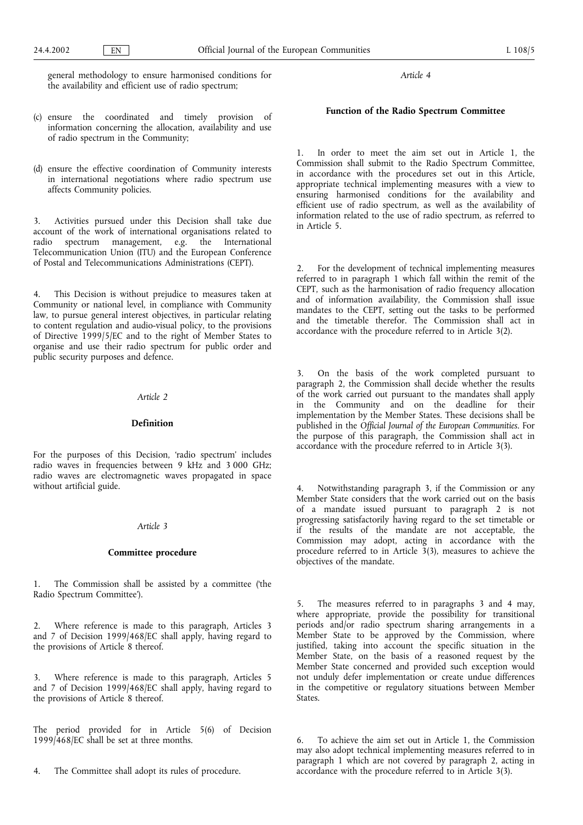general methodology to ensure harmonised conditions for the availability and efficient use of radio spectrum;

- (c) ensure the coordinated and timely provision of information concerning the allocation, availability and use of radio spectrum in the Community;
- (d) ensure the effective coordination of Community interests in international negotiations where radio spectrum use affects Community policies.

3. Activities pursued under this Decision shall take due account of the work of international organisations related to radio spectrum management, e.g. the International Telecommunication Union (ITU) and the European Conference of Postal and Telecommunications Administrations (CEPT).

4. This Decision is without prejudice to measures taken at Community or national level, in compliance with Community law, to pursue general interest objectives, in particular relating to content regulation and audio-visual policy, to the provisions of Directive 1999/5/EC and to the right of Member States to organise and use their radio spectrum for public order and public security purposes and defence.

### Article 2

# Definition

For the purposes of this Decision, 'radio spectrum' includes radio waves in frequencies between 9 kHz and 3 000 GHz; radio waves are electromagnetic waves propagated in space without artificial guide.

#### Article 3

# Committee procedure

1. The Commission shall be assisted by a committee (the Radio Spectrum Committee).

2. Where reference is made to this paragraph, Articles 3 and 7 of Decision 1999/468/EC shall apply, having regard to the provisions of Article 8 thereof.

3. Where reference is made to this paragraph, Articles 5 and 7 of Decision 1999/468/EC shall apply, having regard to the provisions of Article 8 thereof.

The period provided for in Article 5(6) of Decision 1999/468/EC shall be set at three months.

4. The Committee shall adopt its rules of procedure.

Article 4

# Function of the Radio Spectrum Committee

1. In order to meet the aim set out in Article 1, the Commission shall submit to the Radio Spectrum Committee, in accordance with the procedures set out in this Article, appropriate technical implementing measures with a view to ensuring harmonised conditions for the availability and efficient use of radio spectrum, as well as the availability of information related to the use of radio spectrum, as referred to in Article 5.

2. For the development of technical implementing measures referred to in paragraph 1 which fall within the remit of the CEPT, such as the harmonisation of radio frequency allocation and of information availability, the Commission shall issue mandates to the CEPT, setting out the tasks to be performed and the timetable therefor. The Commission shall act in accordance with the procedure referred to in Article 3(2).

3. On the basis of the work completed pursuant to paragraph 2, the Commission shall decide whether the results of the work carried out pursuant to the mandates shall apply in the Community and on the deadline for their implementation by the Member States. These decisions shall be published in the Official Journal of the European Communities. For the purpose of this paragraph, the Commission shall act in accordance with the procedure referred to in Article 3(3).

Notwithstanding paragraph 3, if the Commission or any Member State considers that the work carried out on the basis of a mandate issued pursuant to paragraph 2 is not progressing satisfactorily having regard to the set timetable or if the results of the mandate are not acceptable, the Commission may adopt, acting in accordance with the procedure referred to in Article  $3(3)$ , measures to achieve the objectives of the mandate.

5. The measures referred to in paragraphs 3 and 4 may, where appropriate, provide the possibility for transitional periods and/or radio spectrum sharing arrangements in a Member State to be approved by the Commission, where justified, taking into account the specific situation in the Member State, on the basis of a reasoned request by the Member State concerned and provided such exception would not unduly defer implementation or create undue differences in the competitive or regulatory situations between Member States.

6. To achieve the aim set out in Article 1, the Commission may also adopt technical implementing measures referred to in paragraph 1 which are not covered by paragraph 2, acting in accordance with the procedure referred to in Article 3(3).